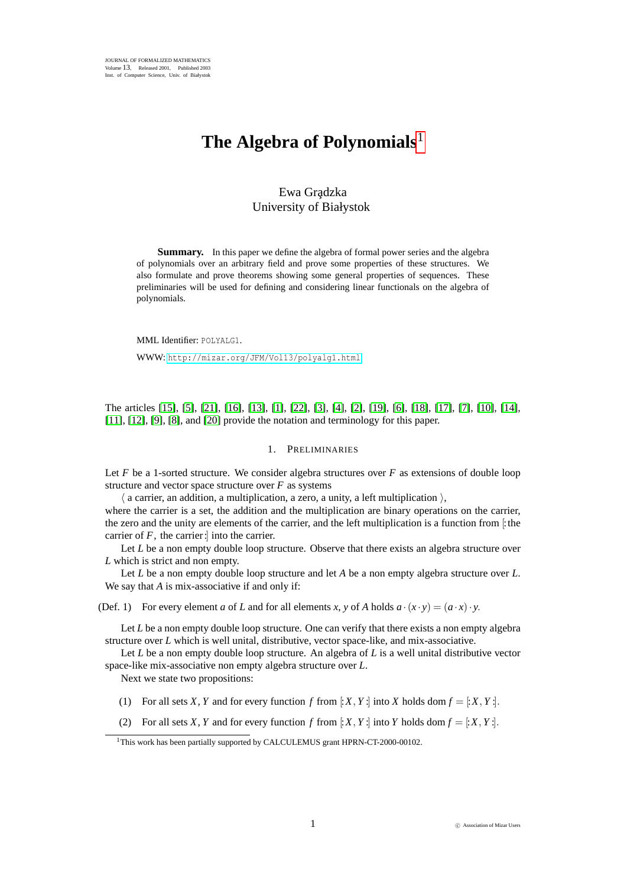# **The Algebra of Polynomials**<sup>1</sup>

# Ewa Gradzka University of Białystok

**Summary.** In this paper we define the algebra of formal power series and the algebra of polynomials over an arbitrary field and prove some properties of these structures. We also formulate and prove theorems showing some general properties of sequences. These preliminaries will be used for defining and considering linear functionals on the algebra of polynomials.

MML Identifier: POLYALG1. WWW: <http://mizar.org/JFM/Vol13/polyalg1.html>

The articles [\[15\]](#page-4-0), [\[5\]](#page-4-1), [\[21\]](#page-4-2), [\[16\]](#page-4-3), [\[13\]](#page-4-4), [\[1\]](#page-4-5), [\[22\]](#page-4-6), [\[3\]](#page-4-7), [\[4\]](#page-4-8), [\[2\]](#page-4-9), [\[19\]](#page-4-10), [\[6\]](#page-4-11), [\[18\]](#page-4-12), [\[17\]](#page-4-13), [\[7\]](#page-4-14), [\[10\]](#page-4-15), [\[14\]](#page-4-16), [\[11\]](#page-4-17), [\[12\]](#page-4-18), [\[9\]](#page-4-19), [\[8\]](#page-4-20), and [\[20\]](#page-4-21) provide the notation and terminology for this paper.

### 1. PRELIMINARIES

Let *F* be a 1-sorted structure. We consider algebra structures over *F* as extensions of double loop structure and vector space structure over  $F$  as systems

 $\langle$  a carrier, an addition, a multiplication, a zero, a unity, a left multiplication  $\rangle$ , where the carrier is a set, the addition and the multiplication are binary operations on the carrier, the zero and the unity are elements of the carrier, and the left multiplication is a function from [:the carrier of  $F$ , the carrier: into the carrier.

Let *L* be a non empty double loop structure. Observe that there exists an algebra structure over *L* which is strict and non empty.

Let *L* be a non empty double loop structure and let *A* be a non empty algebra structure over *L*. We say that *A* is mix-associative if and only if:

(Def. 1) For every element *a* of *L* and for all elements *x*, *y* of *A* holds  $a \cdot (x \cdot y) = (a \cdot x) \cdot y$ .

Let *L* be a non empty double loop structure. One can verify that there exists a non empty algebra structure over *L* which is well unital, distributive, vector space-like, and mix-associative.

Let *L* be a non empty double loop structure. An algebra of *L* is a well unital distributive vector space-like mix-associative non empty algebra structure over *L*.

Next we state two propositions:

- (1) For all sets *X*, *Y* and for every function *f* from  $\colon X, Y$  : into *X* holds dom  $f = \colon X, Y$  :
- (2) For all sets *X*, *Y* and for every function *f* from  $\vdots$ *X*, *Y* :  $\vdots$  into *Y* holds dom  $f = \vdots$ *X*, *Y* :  $\vdots$

<sup>&</sup>lt;sup>1</sup>This work has been partially supported by CALCULEMUS grant HPRN-CT-2000-00102.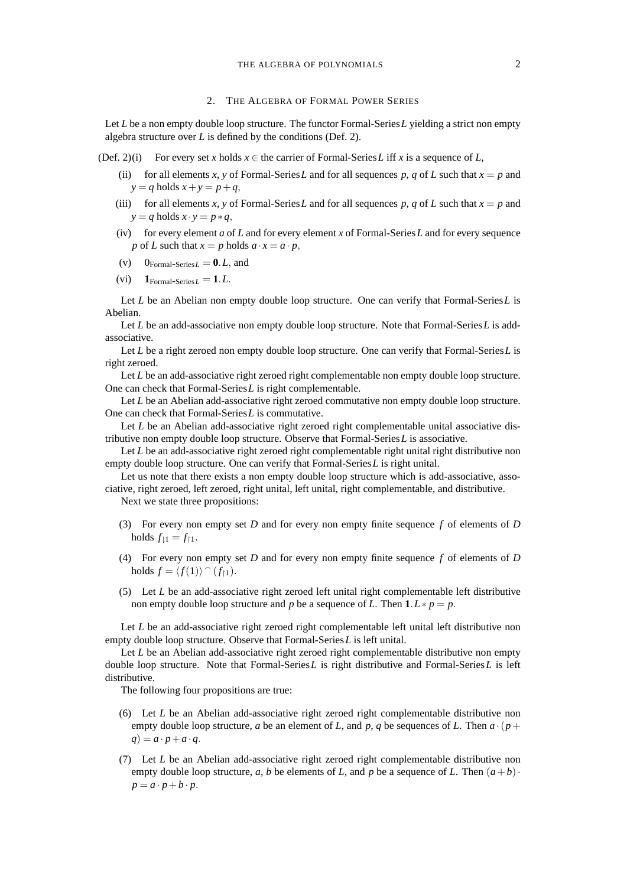## 2. THE ALGEBRA OF FORMAL POWER SERIES

Let *L* be a non empty double loop structure. The functor Formal-Series *L* yielding a strict non empty algebra structure over *L* is defined by the conditions (Def. 2).

- (Def. 2)(i) For every set *x* holds  $x \in$  the carrier of Formal-Series L iff *x* is a sequence of L,
	- (ii) for all elements *x*, *y* of Formal-Series *L* and for all sequences *p*, *q* of *L* such that  $x = p$  and  $y = q$  holds  $x + y = p + q$ ,
	- (iii) for all elements *x*, *y* of Formal-Series *L* and for all sequences *p*, *q* of *L* such that  $x = p$  and  $y = q$  holds  $x \cdot y = p * q$ ,
	- (iv) for every element *a* of *L* and for every element *x* of Formal-Series*L* and for every sequence *p* of *L* such that  $x = p$  holds  $a \cdot x = a \cdot p$ ,
	- (v)  $0_{\text{Formal-Series } L} = 0. L$ , and
	- (vi)  $1_{\text{Formal-Series } L} = 1.L$ .

Let *L* be an Abelian non empty double loop structure. One can verify that Formal-Series*L* is Abelian.

Let *L* be an add-associative non empty double loop structure. Note that Formal-Series *L* is addassociative.

Let *L* be a right zeroed non empty double loop structure. One can verify that Formal-Series*L* is right zeroed.

Let *L* be an add-associative right zeroed right complementable non empty double loop structure. One can check that Formal-Series*L* is right complementable.

Let *L* be an Abelian add-associative right zeroed commutative non empty double loop structure. One can check that Formal-Series*L* is commutative.

Let *L* be an Abelian add-associative right zeroed right complementable unital associative distributive non empty double loop structure. Observe that Formal-Series*L* is associative.

Let *L* be an add-associative right zeroed right complementable right unital right distributive non empty double loop structure. One can verify that Formal-Series*L* is right unital.

Let us note that there exists a non empty double loop structure which is add-associative, associative, right zeroed, left zeroed, right unital, left unital, right complementable, and distributive.

Next we state three propositions:

- (3) For every non empty set *D* and for every non empty finite sequence *f* of elements of *D* holds  $f_{11} = f_{11}$ .
- (4) For every non empty set *D* and for every non empty finite sequence *f* of elements of *D* holds  $f = \langle f(1) \rangle \cap (f_{1})$ .
- (5) Let *L* be an add-associative right zeroed left unital right complementable left distributive non empty double loop structure and *p* be a sequence of *L*. Then  $1 \leq P \leq p$ .

Let *L* be an add-associative right zeroed right complementable left unital left distributive non empty double loop structure. Observe that Formal-Series*L* is left unital.

Let *L* be an Abelian add-associative right zeroed right complementable distributive non empty double loop structure. Note that Formal-Series*L* is right distributive and Formal-Series*L* is left distributive.

The following four propositions are true:

- (6) Let *L* be an Abelian add-associative right zeroed right complementable distributive non empty double loop structure, *a* be an element of *L*, and *p*, *q* be sequences of *L*. Then  $a \cdot (p + 1)$  $q$ ) =  $a \cdot p + a \cdot q$ .
- (7) Let *L* be an Abelian add-associative right zeroed right complementable distributive non empty double loop structure, *a*, *b* be elements of *L*, and *p* be a sequence of *L*. Then  $(a + b)$  $p = a \cdot p + b \cdot p$ .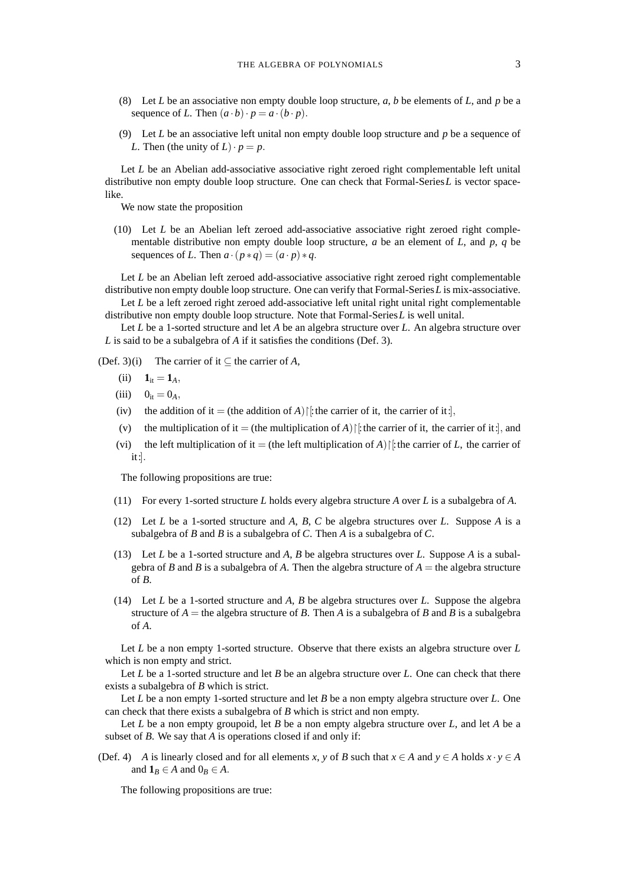- (8) Let *L* be an associative non empty double loop structure, *a*, *b* be elements of *L*, and *p* be a sequence of *L*. Then  $(a \cdot b) \cdot p = a \cdot (b \cdot p)$ .
- (9) Let *L* be an associative left unital non empty double loop structure and *p* be a sequence of *L*. Then (the unity of  $L \cdot p = p$ .

Let *L* be an Abelian add-associative associative right zeroed right complementable left unital distributive non empty double loop structure. One can check that Formal-Series*L* is vector spacelike.

We now state the proposition

(10) Let *L* be an Abelian left zeroed add-associative associative right zeroed right complementable distributive non empty double loop structure,  $a$  be an element of  $L$ , and  $p$ ,  $q$  be sequences of *L*. Then  $a \cdot (p * q) = (a \cdot p) * q$ .

Let *L* be an Abelian left zeroed add-associative associative right zeroed right complementable distributive non empty double loop structure. One can verify that Formal-Series*L* is mix-associative.

Let *L* be a left zeroed right zeroed add-associative left unital right unital right complementable distributive non empty double loop structure. Note that Formal-Series*L* is well unital.

Let *L* be a 1-sorted structure and let *A* be an algebra structure over *L*. An algebra structure over *L* is said to be a subalgebra of *A* if it satisfies the conditions (Def. 3).

(Def. 3)(i) The carrier of it  $\subseteq$  the carrier of *A*,

- (ii)  $1_{it} = 1_A$ ,
- (iii)  $0_{it} = 0_A$ ,
- (iv) the addition of it = (the addition of *A*) $\vert$ : the carrier of it, the carrier of it:
- (v) the multiplication of it = (the multiplication of *A*) $\vert\vert$ : the carrier of it, the carrier of it:], and
- (vi) the left multiplication of it = (the left multiplication of *A*) $\vert$ : the carrier of *L*, the carrier of it:].

The following propositions are true:

- (11) For every 1-sorted structure *L* holds every algebra structure *A* over *L* is a subalgebra of *A*.
- (12) Let *L* be a 1-sorted structure and *A*, *B*, *C* be algebra structures over *L*. Suppose *A* is a subalgebra of *B* and *B* is a subalgebra of *C*. Then *A* is a subalgebra of *C*.
- (13) Let *L* be a 1-sorted structure and *A*, *B* be algebra structures over *L*. Suppose *A* is a subalgebra of *B* and *B* is a subalgebra of *A*. Then the algebra structure of  $A =$  the algebra structure of *B*.
- (14) Let *L* be a 1-sorted structure and *A*, *B* be algebra structures over *L*. Suppose the algebra structure of  $A =$  the algebra structure of *B*. Then *A* is a subalgebra of *B* and *B* is a subalgebra of *A*.

Let *L* be a non empty 1-sorted structure. Observe that there exists an algebra structure over *L* which is non empty and strict.

Let *L* be a 1-sorted structure and let *B* be an algebra structure over *L*. One can check that there exists a subalgebra of *B* which is strict.

Let *L* be a non empty 1-sorted structure and let *B* be a non empty algebra structure over *L*. One can check that there exists a subalgebra of *B* which is strict and non empty.

Let *L* be a non empty groupoid, let *B* be a non empty algebra structure over *L*, and let *A* be a subset of *B*. We say that *A* is operations closed if and only if:

(Def. 4) *A* is linearly closed and for all elements *x*, *y* of *B* such that  $x \in A$  and  $y \in A$  holds  $x \cdot y \in A$ and  $\mathbf{1}_B \in A$  and  $0_B \in A$ .

The following propositions are true: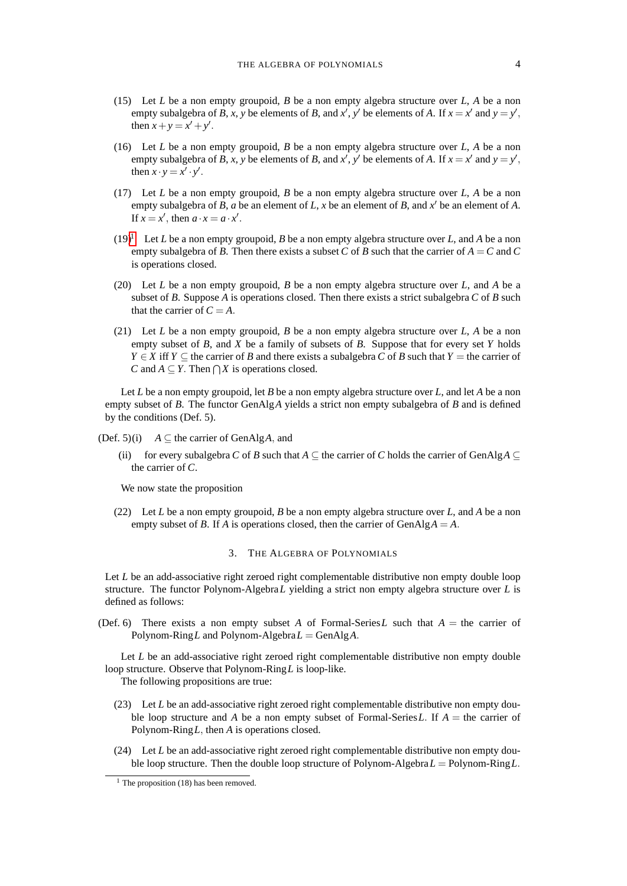- (15) Let *L* be a non empty groupoid, *B* be a non empty algebra structure over *L*, *A* be a non empty subalgebra of *B*, *x*, *y* be elements of *B*, and *x'*, *y'* be elements of *A*. If  $x = x'$  and  $y = y'$ , then  $x + y = x' + y'$ .
- (16) Let *L* be a non empty groupoid, *B* be a non empty algebra structure over *L*, *A* be a non empty subalgebra of *B*, *x*, *y* be elements of *B*, and *x'*, *y'* be elements of *A*. If  $x = x'$  and  $y = y'$ , then  $x \cdot y = x' \cdot y'$ .
- (17) Let *L* be a non empty groupoid, *B* be a non empty algebra structure over *L*, *A* be a non empty subalgebra of *B*, *a* be an element of *L*, *x* be an element of *B*, and  $x'$  be an element of *A*. If  $x = x'$ , then  $a \cdot x = a \cdot x'$ .
- $(19)^1$  $(19)^1$  $(19)^1$  Let *L* be a non empty groupoid, *B* be a non empty algebra structure over *L*, and *A* be a non empty subalgebra of *B*. Then there exists a subset *C* of *B* such that the carrier of  $A = C$  and *C* is operations closed.
- (20) Let *L* be a non empty groupoid, *B* be a non empty algebra structure over *L*, and *A* be a subset of *B*. Suppose *A* is operations closed. Then there exists a strict subalgebra *C* of *B* such that the carrier of  $C = A$ .
- (21) Let *L* be a non empty groupoid, *B* be a non empty algebra structure over *L*, *A* be a non empty subset of *B*, and *X* be a family of subsets of *B*. Suppose that for every set *Y* holds *Y* ∈ *X* iff *Y* ⊆ the carrier of *B* and there exists a subalgebra *C* of *B* such that *Y* = the carrier of *C* and *A* ⊆ *Y*. Then  $\bigcap X$  is operations closed.

Let *L* be a non empty groupoid, let *B* be a non empty algebra structure over *L*, and let *A* be a non empty subset of *B*. The functor GenAlg*A* yields a strict non empty subalgebra of *B* and is defined by the conditions (Def. 5).

(Def. 5)(i)  $A \subseteq$  the carrier of GenAlg*A*, and

(ii) for every subalgebra *C* of *B* such that  $A \subseteq$  the carrier of *C* holds the carrier of GenAlg $A \subseteq$ the carrier of *C*.

We now state the proposition

(22) Let *L* be a non empty groupoid, *B* be a non empty algebra structure over *L*, and *A* be a non empty subset of *B*. If *A* is operations closed, then the carrier of GenAlg $A = A$ .

#### 3. THE ALGEBRA OF POLYNOMIALS

Let *L* be an add-associative right zeroed right complementable distributive non empty double loop structure. The functor Polynom-Algebra*L* yielding a strict non empty algebra structure over *L* is defined as follows:

(Def. 6) There exists a non empty subset A of Formal-Series L such that  $A =$  the carrier of Polynom-Ring*L* and Polynom-Algebra*L* = GenAlg*A*.

Let *L* be an add-associative right zeroed right complementable distributive non empty double loop structure. Observe that Polynom-Ring*L* is loop-like.

The following propositions are true:

- (23) Let *L* be an add-associative right zeroed right complementable distributive non empty double loop structure and *A* be a non empty subset of Formal-Series*L*. If *A* = the carrier of Polynom-Ring*L*, then *A* is operations closed.
- (24) Let *L* be an add-associative right zeroed right complementable distributive non empty double loop structure. Then the double loop structure of Polynom-Algebra*L* = Polynom-Ring*L*.

<span id="page-3-0"></span> $<sup>1</sup>$  The proposition (18) has been removed.</sup>